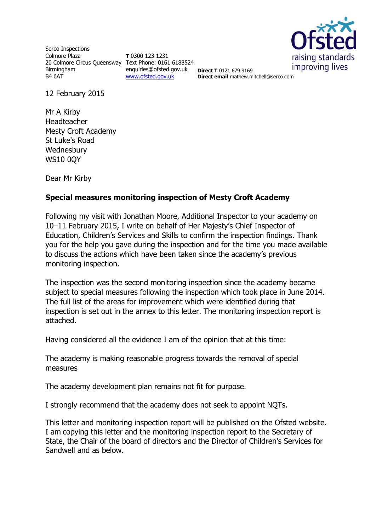

Serco Inspections Colmore Plaza 20 Colmore Circus Queensway Text Phone: 0161 6188524 Birmingham B4 6AT

**T** 0300 123 1231 enquiries@ofsted.gov.uk [www.ofsted.gov.uk](http://www.ofsted.gov.uk/)

**Direct T** 0121 679 9169 **Direct email**:mathew.mitchell@serco.com

12 February 2015

Mr A Kirby Headteacher Mesty Croft Academy St Luke's Road **Wednesbury** WS10 0QY

Dear Mr Kirby

## **Special measures monitoring inspection of Mesty Croft Academy**

Following my visit with Jonathan Moore, Additional Inspector to your academy on 10–11 February 2015, I write on behalf of Her Majesty's Chief Inspector of Education, Children's Services and Skills to confirm the inspection findings. Thank you for the help you gave during the inspection and for the time you made available to discuss the actions which have been taken since the academy's previous monitoring inspection.

The inspection was the second monitoring inspection since the academy became subject to special measures following the inspection which took place in June 2014. The full list of the areas for improvement which were identified during that inspection is set out in the annex to this letter. The monitoring inspection report is attached.

Having considered all the evidence I am of the opinion that at this time:

The academy is making reasonable progress towards the removal of special measures

The academy development plan remains not fit for purpose.

I strongly recommend that the academy does not seek to appoint NQTs.

This letter and monitoring inspection report will be published on the Ofsted website. I am copying this letter and the monitoring inspection report to the Secretary of State, the Chair of the board of directors and the Director of Children's Services for Sandwell and as below.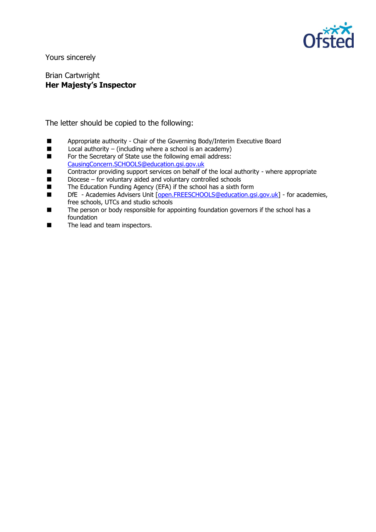

Yours sincerely

Brian Cartwright **Her Majesty's Inspector**

The letter should be copied to the following:

- **Appropriate authority Chair of the Governing Body/Interim Executive Board Local authority (including where a school is an academy)**
- Local authority (including where a school is an academy)<br>■ For the Secretary of State use the following email address:
- For the Secretary of State use the following email address: [CausingConcern.SCHOOLS@education.gsi.gov.uk](mailto:CausingConcern.SCHOOLS@education.gsi.gov.uk)
- Contractor providing support services on behalf of the local authority where appropriate
- $\blacksquare$  Diocese for voluntary aided and voluntary controlled schools
- The Education Funding Agency (EFA) if the school has a sixth form
- DfE Academies Advisers Unit [\[open.FREESCHOOLS@education.gsi.gov.uk\]](mailto:open.FREESCHOOLS@education.gsi.gov.uk) for academies, free schools, UTCs and studio schools
- The person or body responsible for appointing foundation governors if the school has a foundation
- The lead and team inspectors.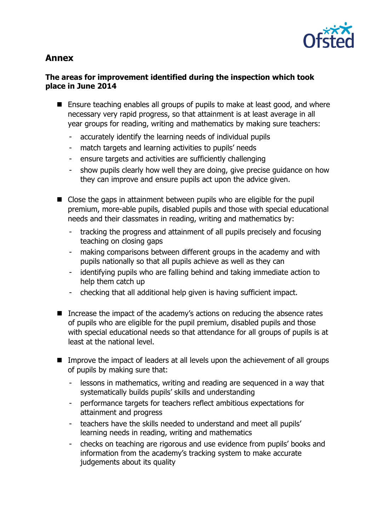

# **Annex**

# **The areas for improvement identified during the inspection which took place in June 2014**

- Ensure teaching enables all groups of pupils to make at least good, and where necessary very rapid progress, so that attainment is at least average in all year groups for reading, writing and mathematics by making sure teachers:
	- accurately identify the learning needs of individual pupils
	- match targets and learning activities to pupils' needs
	- ensure targets and activities are sufficiently challenging
	- show pupils clearly how well they are doing, give precise guidance on how they can improve and ensure pupils act upon the advice given.
- Close the gaps in attainment between pupils who are eligible for the pupil premium, more-able pupils, disabled pupils and those with special educational needs and their classmates in reading, writing and mathematics by:
	- tracking the progress and attainment of all pupils precisely and focusing teaching on closing gaps
	- making comparisons between different groups in the academy and with pupils nationally so that all pupils achieve as well as they can
	- identifying pupils who are falling behind and taking immediate action to help them catch up
	- checking that all additional help given is having sufficient impact.
- Increase the impact of the academy's actions on reducing the absence rates of pupils who are eligible for the pupil premium, disabled pupils and those with special educational needs so that attendance for all groups of pupils is at least at the national level.
- **IMPROVE THE IMPROPE THE IMPROPE THE IMPROVE THE IMPROVE THE IMPROVE THE IMPROVE THE IMPROVE THE IMPROVER IMPROVER** of pupils by making sure that:
	- lessons in mathematics, writing and reading are sequenced in a way that systematically builds pupils' skills and understanding
	- performance targets for teachers reflect ambitious expectations for attainment and progress
	- teachers have the skills needed to understand and meet all pupils' learning needs in reading, writing and mathematics
	- checks on teaching are rigorous and use evidence from pupils' books and information from the academy's tracking system to make accurate judgements about its quality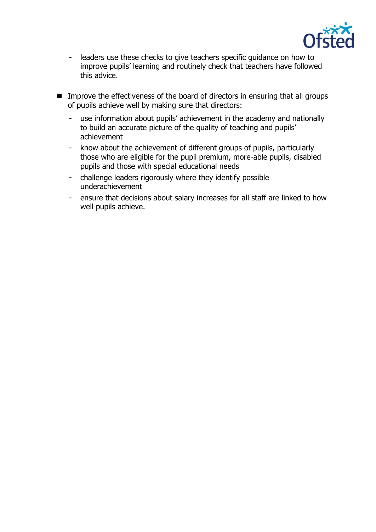

- leaders use these checks to give teachers specific guidance on how to improve pupils' learning and routinely check that teachers have followed this advice.
- **IMPROVE THE EFFECT INCOCES** of the board of directors in ensuring that all groups of pupils achieve well by making sure that directors:
	- use information about pupils' achievement in the academy and nationally to build an accurate picture of the quality of teaching and pupils' achievement
	- know about the achievement of different groups of pupils, particularly those who are eligible for the pupil premium, more-able pupils, disabled pupils and those with special educational needs
	- challenge leaders rigorously where they identify possible underachievement
	- ensure that decisions about salary increases for all staff are linked to how well pupils achieve.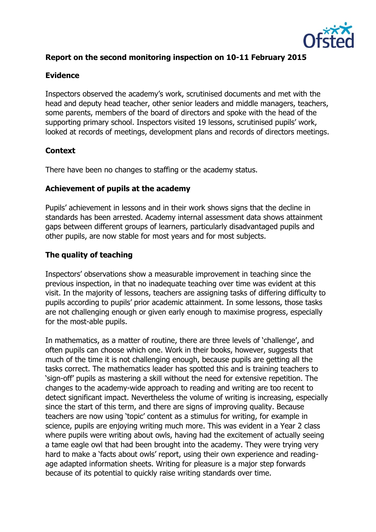

## **Report on the second monitoring inspection on 10-11 February 2015**

#### **Evidence**

Inspectors observed the academy's work, scrutinised documents and met with the head and deputy head teacher, other senior leaders and middle managers, teachers, some parents, members of the board of directors and spoke with the head of the supporting primary school. Inspectors visited 19 lessons, scrutinised pupils' work, looked at records of meetings, development plans and records of directors meetings.

## **Context**

There have been no changes to staffing or the academy status.

## **Achievement of pupils at the academy**

Pupils' achievement in lessons and in their work shows signs that the decline in standards has been arrested. Academy internal assessment data shows attainment gaps between different groups of learners, particularly disadvantaged pupils and other pupils, are now stable for most years and for most subjects.

## **The quality of teaching**

Inspectors' observations show a measurable improvement in teaching since the previous inspection, in that no inadequate teaching over time was evident at this visit. In the majority of lessons, teachers are assigning tasks of differing difficulty to pupils according to pupils' prior academic attainment. In some lessons, those tasks are not challenging enough or given early enough to maximise progress, especially for the most-able pupils.

In mathematics, as a matter of routine, there are three levels of 'challenge', and often pupils can choose which one. Work in their books, however, suggests that much of the time it is not challenging enough, because pupils are getting all the tasks correct. The mathematics leader has spotted this and is training teachers to 'sign-off' pupils as mastering a skill without the need for extensive repetition. The changes to the academy-wide approach to reading and writing are too recent to detect significant impact. Nevertheless the volume of writing is increasing, especially since the start of this term, and there are signs of improving quality. Because teachers are now using 'topic' content as a stimulus for writing, for example in science, pupils are enjoying writing much more. This was evident in a Year 2 class where pupils were writing about owls, having had the excitement of actually seeing a tame eagle owl that had been brought into the academy. They were trying very hard to make a 'facts about owls' report, using their own experience and readingage adapted information sheets. Writing for pleasure is a major step forwards because of its potential to quickly raise writing standards over time.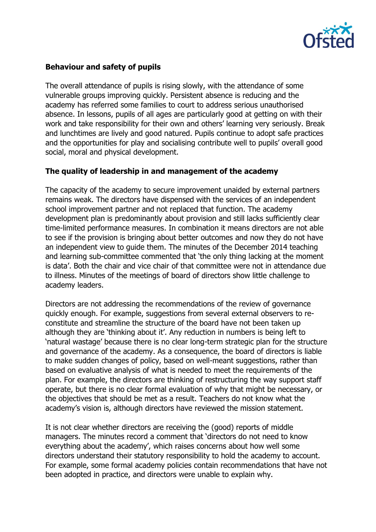

## **Behaviour and safety of pupils**

The overall attendance of pupils is rising slowly, with the attendance of some vulnerable groups improving quickly. Persistent absence is reducing and the academy has referred some families to court to address serious unauthorised absence. In lessons, pupils of all ages are particularly good at getting on with their work and take responsibility for their own and others' learning very seriously. Break and lunchtimes are lively and good natured. Pupils continue to adopt safe practices and the opportunities for play and socialising contribute well to pupils' overall good social, moral and physical development.

## **The quality of leadership in and management of the academy**

The capacity of the academy to secure improvement unaided by external partners remains weak. The directors have dispensed with the services of an independent school improvement partner and not replaced that function. The academy development plan is predominantly about provision and still lacks sufficiently clear time-limited performance measures. In combination it means directors are not able to see if the provision is bringing about better outcomes and now they do not have an independent view to guide them. The minutes of the December 2014 teaching and learning sub-committee commented that 'the only thing lacking at the moment is data'. Both the chair and vice chair of that committee were not in attendance due to illness. Minutes of the meetings of board of directors show little challenge to academy leaders.

Directors are not addressing the recommendations of the review of governance quickly enough. For example, suggestions from several external observers to reconstitute and streamline the structure of the board have not been taken up although they are 'thinking about it'. Any reduction in numbers is being left to 'natural wastage' because there is no clear long-term strategic plan for the structure and governance of the academy. As a consequence, the board of directors is liable to make sudden changes of policy, based on well-meant suggestions, rather than based on evaluative analysis of what is needed to meet the requirements of the plan. For example, the directors are thinking of restructuring the way support staff operate, but there is no clear formal evaluation of why that might be necessary, or the objectives that should be met as a result. Teachers do not know what the academy's vision is, although directors have reviewed the mission statement.

It is not clear whether directors are receiving the (good) reports of middle managers. The minutes record a comment that 'directors do not need to know everything about the academy', which raises concerns about how well some directors understand their statutory responsibility to hold the academy to account. For example, some formal academy policies contain recommendations that have not been adopted in practice, and directors were unable to explain why.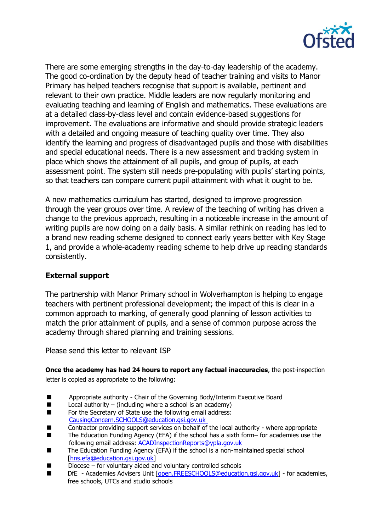

There are some emerging strengths in the day-to-day leadership of the academy. The good co-ordination by the deputy head of teacher training and visits to Manor Primary has helped teachers recognise that support is available, pertinent and relevant to their own practice. Middle leaders are now regularly monitoring and evaluating teaching and learning of English and mathematics. These evaluations are at a detailed class-by-class level and contain evidence-based suggestions for improvement. The evaluations are informative and should provide strategic leaders with a detailed and ongoing measure of teaching quality over time. They also identify the learning and progress of disadvantaged pupils and those with disabilities and special educational needs. There is a new assessment and tracking system in place which shows the attainment of all pupils, and group of pupils, at each assessment point. The system still needs pre-populating with pupils' starting points, so that teachers can compare current pupil attainment with what it ought to be.

A new mathematics curriculum has started, designed to improve progression through the year groups over time. A review of the teaching of writing has driven a change to the previous approach, resulting in a noticeable increase in the amount of writing pupils are now doing on a daily basis. A similar rethink on reading has led to a brand new reading scheme designed to connect early years better with Key Stage 1, and provide a whole-academy reading scheme to help drive up reading standards consistently.

## **External support**

The partnership with Manor Primary school in Wolverhampton is helping to engage teachers with pertinent professional development; the impact of this is clear in a common approach to marking, of generally good planning of lesson activities to match the prior attainment of pupils, and a sense of common purpose across the academy through shared planning and training sessions.

Please send this letter to relevant ISP

**Once the academy has had 24 hours to report any factual inaccuracies**, the post-inspection letter is copied as appropriate to the following:

- Appropriate authority Chair of the Governing Body/Interim Executive Board
- $\Box$  Local authority (including where a school is an academy)
- For the Secretary of State use the following email address: [CausingConcern.SCHOOLS@education.gsi.gov.uk](mailto:CausingConcern.SCHOOLS@education.gsi.gov.uk)
- Contractor providing support services on behalf of the local authority where appropriate
- The Education Funding Agency (EFA) if the school has a sixth form– for academies use the following email address: [ACADInspectionReports@ypla.gov.uk](mailto:ACADInspectionReports@ypla.gov.uk)
- The Education Funding Agency (EFA) if the school is a non-maintained special school [\[hns.efa@education.gsi.gov.uk\]](mailto:hns.efa@education.gsi.gov.uk)
- Diocese for voluntary aided and voluntary controlled schools
- DfE Academies Advisers Unit [\[open.FREESCHOOLS@education.gsi.gov.uk\]](mailto:open.FREESCHOOLS@education.gsi.gov.uk) for academies, free schools, UTCs and studio schools